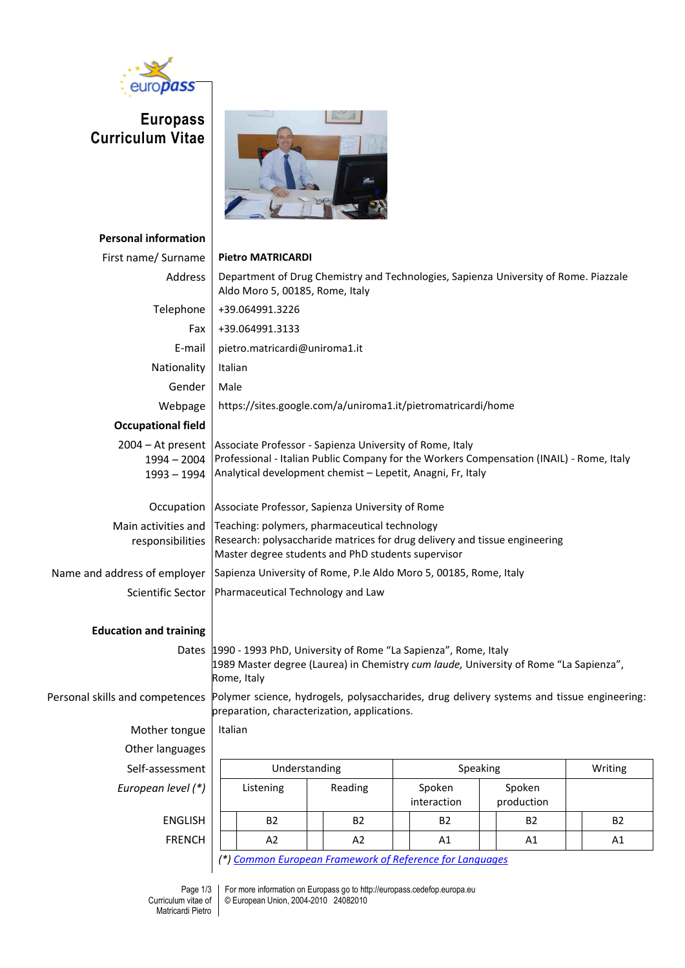

**Europass Curriculum Vitae**



| <b>Personal information</b>                           |                                                                                                                                                                                                                     |           |  |           |                     |                       |  |                      |  |           |
|-------------------------------------------------------|---------------------------------------------------------------------------------------------------------------------------------------------------------------------------------------------------------------------|-----------|--|-----------|---------------------|-----------------------|--|----------------------|--|-----------|
| First name/ Surname                                   | <b>Pietro MATRICARDI</b>                                                                                                                                                                                            |           |  |           |                     |                       |  |                      |  |           |
| Address                                               | Department of Drug Chemistry and Technologies, Sapienza University of Rome. Piazzale<br>Aldo Moro 5, 00185, Rome, Italy                                                                                             |           |  |           |                     |                       |  |                      |  |           |
| Telephone                                             | +39.064991.3226                                                                                                                                                                                                     |           |  |           |                     |                       |  |                      |  |           |
| Fax                                                   | +39.064991.3133                                                                                                                                                                                                     |           |  |           |                     |                       |  |                      |  |           |
| E-mail                                                | pietro.matricardi@uniroma1.it                                                                                                                                                                                       |           |  |           |                     |                       |  |                      |  |           |
| Nationality                                           | Italian                                                                                                                                                                                                             |           |  |           |                     |                       |  |                      |  |           |
| Gender                                                | Male                                                                                                                                                                                                                |           |  |           |                     |                       |  |                      |  |           |
| Webpage                                               | https://sites.google.com/a/uniroma1.it/pietromatricardi/home                                                                                                                                                        |           |  |           |                     |                       |  |                      |  |           |
| <b>Occupational field</b>                             |                                                                                                                                                                                                                     |           |  |           |                     |                       |  |                      |  |           |
| $2004 - At present$<br>$1994 - 2004$<br>$1993 - 1994$ | Associate Professor - Sapienza University of Rome, Italy<br>Professional - Italian Public Company for the Workers Compensation (INAIL) - Rome, Italy<br>Analytical development chemist - Lepetit, Anagni, Fr, Italy |           |  |           |                     |                       |  |                      |  |           |
| Occupation                                            | Associate Professor, Sapienza University of Rome                                                                                                                                                                    |           |  |           |                     |                       |  |                      |  |           |
| Main activities and<br>responsibilities               | Teaching: polymers, pharmaceutical technology<br>Research: polysaccharide matrices for drug delivery and tissue engineering<br>Master degree students and PhD students supervisor                                   |           |  |           |                     |                       |  |                      |  |           |
| Name and address of employer                          | Sapienza University of Rome, P.le Aldo Moro 5, 00185, Rome, Italy                                                                                                                                                   |           |  |           |                     |                       |  |                      |  |           |
| Scientific Sector                                     | Pharmaceutical Technology and Law                                                                                                                                                                                   |           |  |           |                     |                       |  |                      |  |           |
| <b>Education and training</b>                         |                                                                                                                                                                                                                     |           |  |           |                     |                       |  |                      |  |           |
|                                                       | Dates 1990 - 1993 PhD, University of Rome "La Sapienza", Rome, Italy<br>1989 Master degree (Laurea) in Chemistry cum laude, University of Rome "La Sapienza",<br>Rome, Italy                                        |           |  |           |                     |                       |  |                      |  |           |
| Personal skills and competences                       | Polymer science, hydrogels, polysaccharides, drug delivery systems and tissue engineering:<br>preparation, characterization, applications.                                                                          |           |  |           |                     |                       |  |                      |  |           |
| Mother tongue                                         | Italian                                                                                                                                                                                                             |           |  |           |                     |                       |  |                      |  |           |
| Other languages                                       |                                                                                                                                                                                                                     |           |  |           |                     |                       |  |                      |  |           |
| Self-assessment                                       | Understanding                                                                                                                                                                                                       |           |  |           | Speaking<br>Writing |                       |  |                      |  |           |
| European level (*)                                    |                                                                                                                                                                                                                     | Listening |  | Reading   |                     | Spoken<br>interaction |  | Spoken<br>production |  |           |
| <b>ENGLISH</b>                                        |                                                                                                                                                                                                                     | <b>B2</b> |  | <b>B2</b> |                     | <b>B2</b>             |  | <b>B2</b>            |  | <b>B2</b> |
| <b>FRENCH</b>                                         |                                                                                                                                                                                                                     | A2        |  | A2        |                     | A1                    |  | A1                   |  | A1        |
|                                                       |                                                                                                                                                                                                                     |           |  |           |                     |                       |  |                      |  |           |

*(\*) [Common European Framework of Reference for Languages](http://europass.cedefop.europa.eu/LanguageSelfAssessmentGrid/en)*

For more information on Europass go to http://europass.cedefop.europa.eu © European Union, 2004-2010 24082010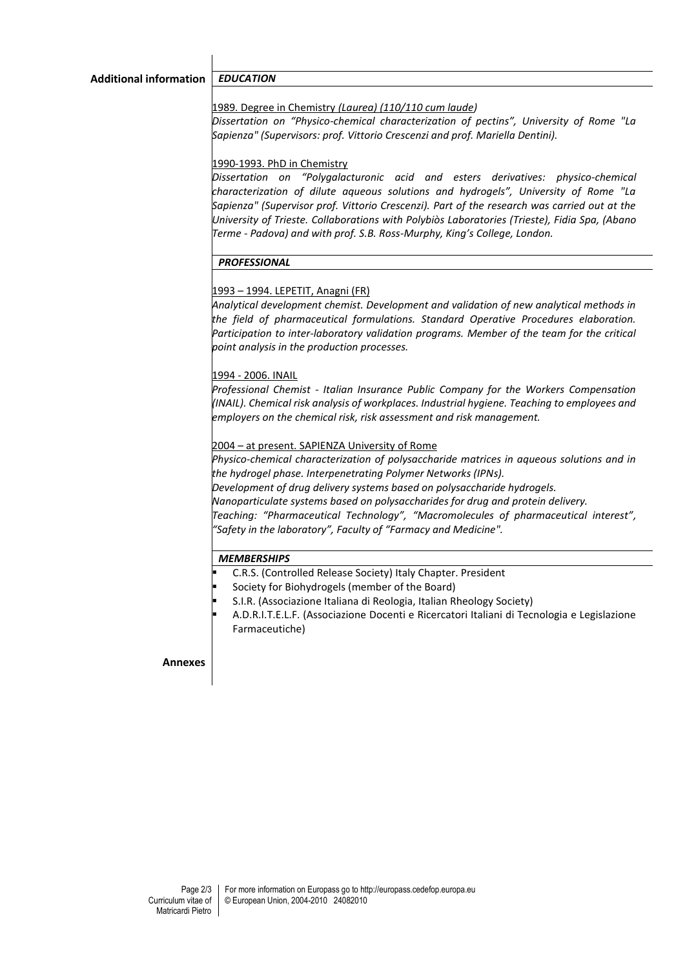1989. Degree in Chemistry *(Laurea) (110/110 cum laude)*

*Dissertation on "Physico-chemical characterization of pectins", University of Rome "La Sapienza" (Supervisors: prof. Vittorio Crescenzi and prof. Mariella Dentini).*

## 1990-1993. PhD in Chemistry

*Dissertation on "Polygalacturonic acid and esters derivatives: physico-chemical characterization of dilute aqueous solutions and hydrogels", University of Rome "La Sapienza" (Supervisor prof. Vittorio Crescenzi). Part of the research was carried out at the University of Trieste. Collaborations with Polybiòs Laboratories (Trieste), Fidia Spa, (Abano Terme - Padova) and with prof. S.B. Ross-Murphy, King's College, London.*

# *PROFESSIONAL*

# 1993 – 1994. LEPETIT, Anagni (FR)

*Analytical development chemist. Development and validation of new analytical methods in the field of pharmaceutical formulations. Standard Operative Procedures elaboration. Participation to inter-laboratory validation programs. Member of the team for the critical point analysis in the production processes.*

# 1994 - 2006. INAIL

*Professional Chemist - Italian Insurance Public Company for the Workers Compensation (INAIL). Chemical risk analysis of workplaces. Industrial hygiene. Teaching to employees and employers on the chemical risk, risk assessment and risk management.*

# 2004 – at present. SAPIENZA University of Rome

*Physico-chemical characterization of polysaccharide matrices in aqueous solutions and in the hydrogel phase. Interpenetrating Polymer Networks (IPNs). Development of drug delivery systems based on polysaccharide hydrogels. Nanoparticulate systems based on polysaccharides for drug and protein delivery. Teaching: "Pharmaceutical Technology", "Macromolecules of pharmaceutical interest", "Safety in the laboratory", Faculty of "Farmacy and Medicine".*

## *MEMBERSHIPS*

- C.R.S. (Controlled Release Society) Italy Chapter. President
- Society for Biohydrogels (member of the Board)
- S.I.R. (Associazione Italiana di Reologia, Italian Rheology Society)
- A.D.R.I.T.E.L.F. (Associazione Docenti e Ricercatori Italiani di Tecnologia e Legislazione Farmaceutiche)

## **Annexes**